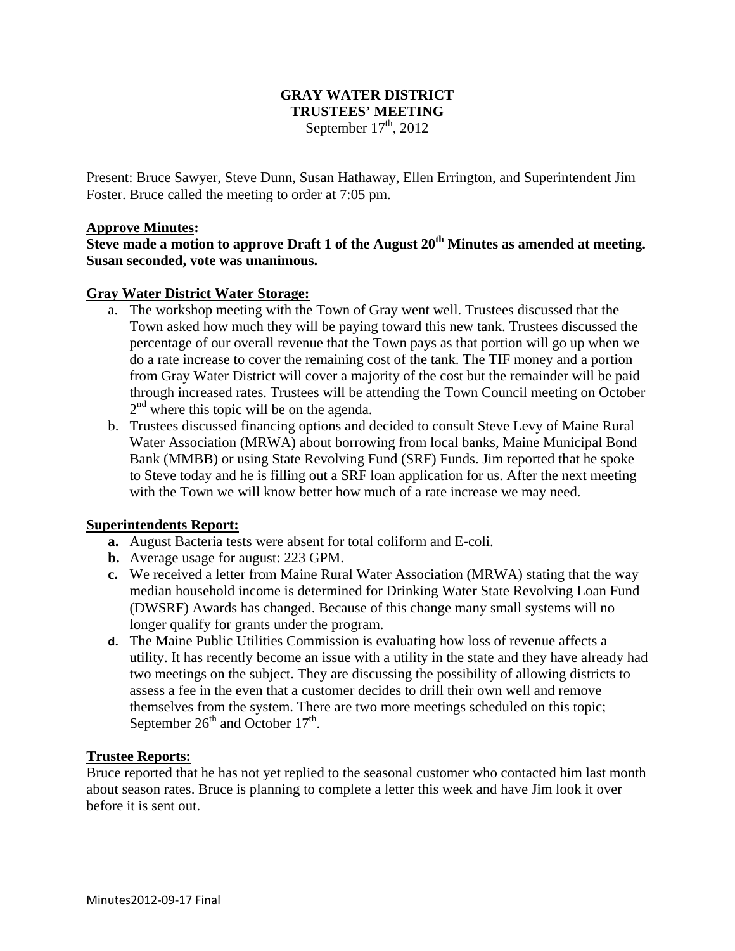## **GRAY WATER DISTRICT TRUSTEES' MEETING**  September  $17<sup>th</sup>$ , 2012

Present: Bruce Sawyer, Steve Dunn, Susan Hathaway, Ellen Errington, and Superintendent Jim Foster. Bruce called the meeting to order at 7:05 pm.

#### **Approve Minutes:**

**Steve made a motion to approve Draft 1 of the August 20th Minutes as amended at meeting. Susan seconded, vote was unanimous.** 

#### **Gray Water District Water Storage:**

- a. The workshop meeting with the Town of Gray went well. Trustees discussed that the Town asked how much they will be paying toward this new tank. Trustees discussed the percentage of our overall revenue that the Town pays as that portion will go up when we do a rate increase to cover the remaining cost of the tank. The TIF money and a portion from Gray Water District will cover a majority of the cost but the remainder will be paid through increased rates. Trustees will be attending the Town Council meeting on October  $2<sup>nd</sup>$  where this topic will be on the agenda.
- b. Trustees discussed financing options and decided to consult Steve Levy of Maine Rural Water Association (MRWA) about borrowing from local banks, Maine Municipal Bond Bank (MMBB) or using State Revolving Fund (SRF) Funds. Jim reported that he spoke to Steve today and he is filling out a SRF loan application for us. After the next meeting with the Town we will know better how much of a rate increase we may need.

### **Superintendents Report:**

- **a.** August Bacteria tests were absent for total coliform and E-coli.
- **b.** Average usage for august: 223 GPM.
- **c.** We received a letter from Maine Rural Water Association (MRWA) stating that the way median household income is determined for Drinking Water State Revolving Loan Fund (DWSRF) Awards has changed. Because of this change many small systems will no longer qualify for grants under the program.
- **d.** The Maine Public Utilities Commission is evaluating how loss of revenue affects a utility. It has recently become an issue with a utility in the state and they have already had two meetings on the subject. They are discussing the possibility of allowing districts to assess a fee in the even that a customer decides to drill their own well and remove themselves from the system. There are two more meetings scheduled on this topic; September  $26<sup>th</sup>$  and October  $17<sup>th</sup>$ .

### **Trustee Reports:**

Bruce reported that he has not yet replied to the seasonal customer who contacted him last month about season rates. Bruce is planning to complete a letter this week and have Jim look it over before it is sent out.